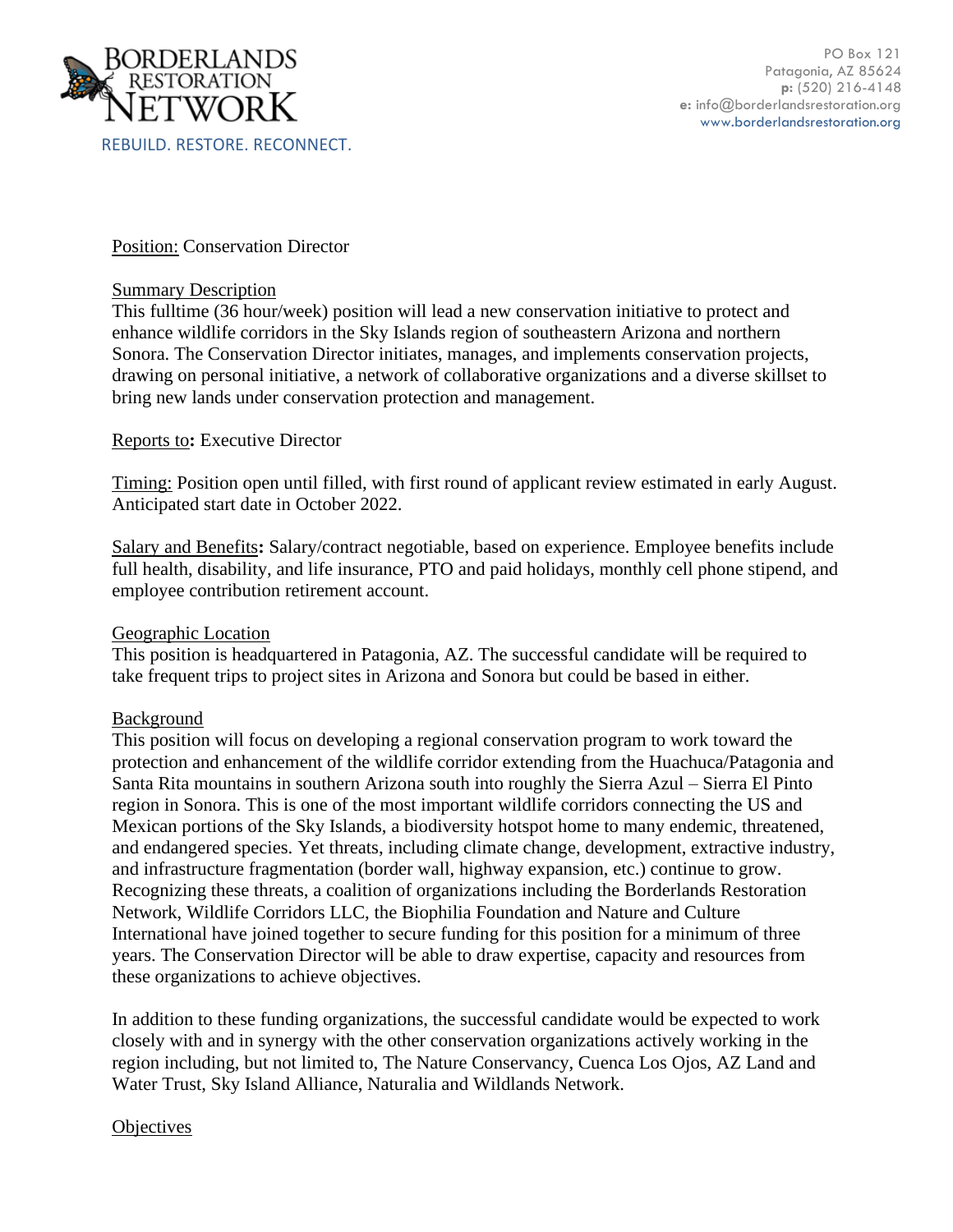

Position: Conservation Director

## Summary Description

This fulltime (36 hour/week) position will lead a new conservation initiative to protect and enhance wildlife corridors in the Sky Islands region of southeastern Arizona and northern Sonora. The Conservation Director initiates, manages, and implements conservation projects, drawing on personal initiative, a network of collaborative organizations and a diverse skillset to bring new lands under conservation protection and management.

# Reports to**:** Executive Director

Timing: Position open until filled, with first round of applicant review estimated in early August. Anticipated start date in October 2022.

Salary and Benefits**:** Salary/contract negotiable, based on experience. Employee benefits include full health, disability, and life insurance, PTO and paid holidays, monthly cell phone stipend, and employee contribution retirement account.

# Geographic Location

This position is headquartered in Patagonia, AZ. The successful candidate will be required to take frequent trips to project sites in Arizona and Sonora but could be based in either.

# Background

This position will focus on developing a regional conservation program to work toward the protection and enhancement of the wildlife corridor extending from the Huachuca/Patagonia and Santa Rita mountains in southern Arizona south into roughly the Sierra Azul – Sierra El Pinto region in Sonora. This is one of the most important wildlife corridors connecting the US and Mexican portions of the Sky Islands, a biodiversity hotspot home to many endemic, threatened, and endangered species. Yet threats, including climate change, development, extractive industry, and infrastructure fragmentation (border wall, highway expansion, etc.) continue to grow. Recognizing these threats, a coalition of organizations including the Borderlands Restoration Network, Wildlife Corridors LLC, the Biophilia Foundation and Nature and Culture International have joined together to secure funding for this position for a minimum of three years. The Conservation Director will be able to draw expertise, capacity and resources from these organizations to achieve objectives.

In addition to these funding organizations, the successful candidate would be expected to work closely with and in synergy with the other conservation organizations actively working in the region including, but not limited to, The Nature Conservancy, Cuenca Los Ojos, AZ Land and Water Trust, Sky Island Alliance, Naturalia and Wildlands Network.

# **Objectives**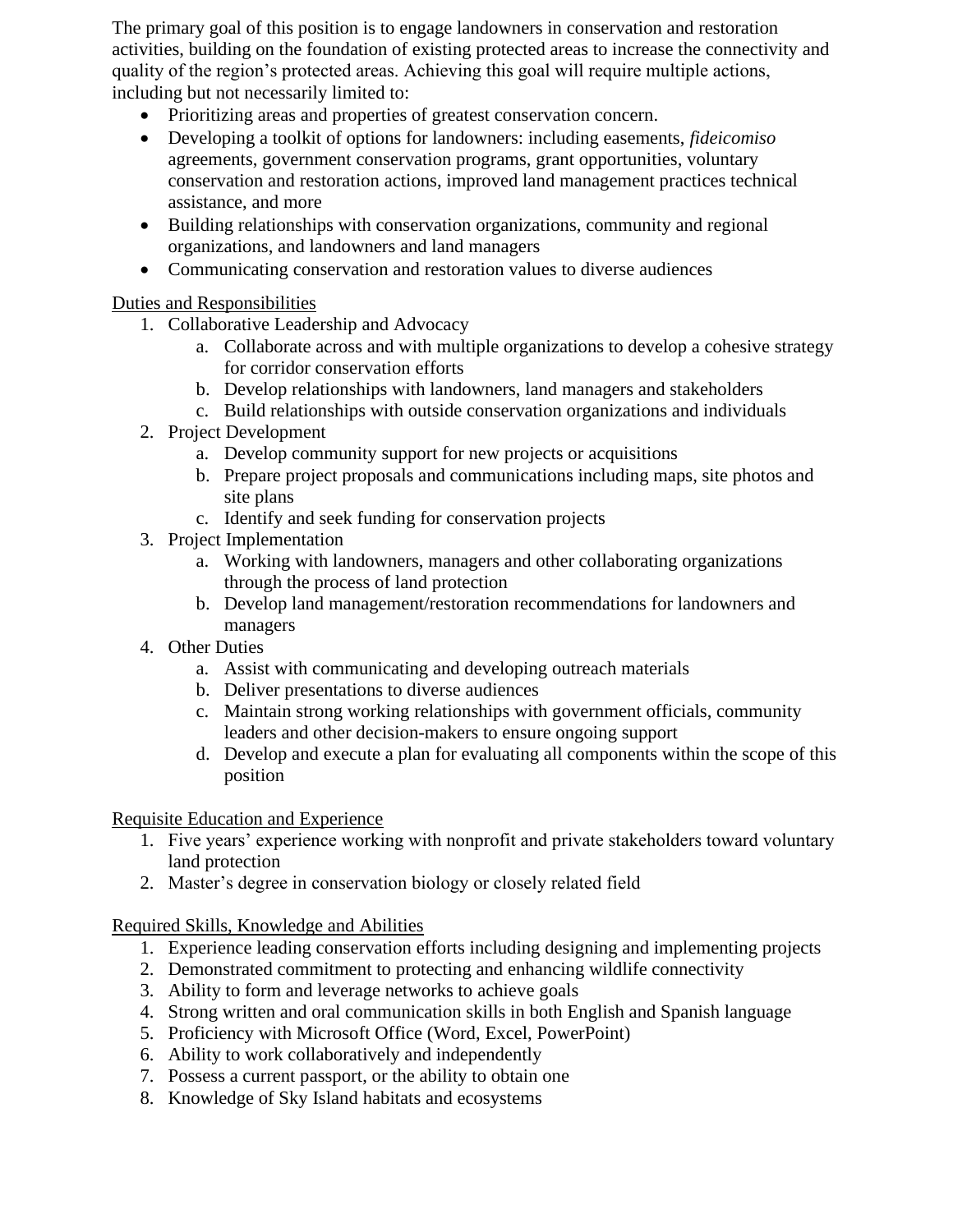The primary goal of this position is to engage landowners in conservation and restoration activities, building on the foundation of existing protected areas to increase the connectivity and quality of the region's protected areas. Achieving this goal will require multiple actions, including but not necessarily limited to:

- Prioritizing areas and properties of greatest conservation concern.
- Developing a toolkit of options for landowners: including easements, *fideicomiso* agreements, government conservation programs, grant opportunities, voluntary conservation and restoration actions, improved land management practices technical assistance, and more
- Building relationships with conservation organizations, community and regional organizations, and landowners and land managers
- Communicating conservation and restoration values to diverse audiences

Duties and Responsibilities

- 1. Collaborative Leadership and Advocacy
	- a. Collaborate across and with multiple organizations to develop a cohesive strategy for corridor conservation efforts
	- b. Develop relationships with landowners, land managers and stakeholders
	- c. Build relationships with outside conservation organizations and individuals
- 2. Project Development
	- a. Develop community support for new projects or acquisitions
	- b. Prepare project proposals and communications including maps, site photos and site plans
	- c. Identify and seek funding for conservation projects
- 3. Project Implementation
	- a. Working with landowners, managers and other collaborating organizations through the process of land protection
	- b. Develop land management/restoration recommendations for landowners and managers
- 4. Other Duties
	- a. Assist with communicating and developing outreach materials
	- b. Deliver presentations to diverse audiences
	- c. Maintain strong working relationships with government officials, community leaders and other decision-makers to ensure ongoing support
	- d. Develop and execute a plan for evaluating all components within the scope of this position

Requisite Education and Experience

- 1. Five years' experience working with nonprofit and private stakeholders toward voluntary land protection
- 2. Master's degree in conservation biology or closely related field

Required Skills, Knowledge and Abilities

- 1. Experience leading conservation efforts including designing and implementing projects
- 2. Demonstrated commitment to protecting and enhancing wildlife connectivity
- 3. Ability to form and leverage networks to achieve goals
- 4. Strong written and oral communication skills in both English and Spanish language
- 5. Proficiency with Microsoft Office (Word, Excel, PowerPoint)
- 6. Ability to work collaboratively and independently
- 7. Possess a current passport, or the ability to obtain one
- 8. Knowledge of Sky Island habitats and ecosystems